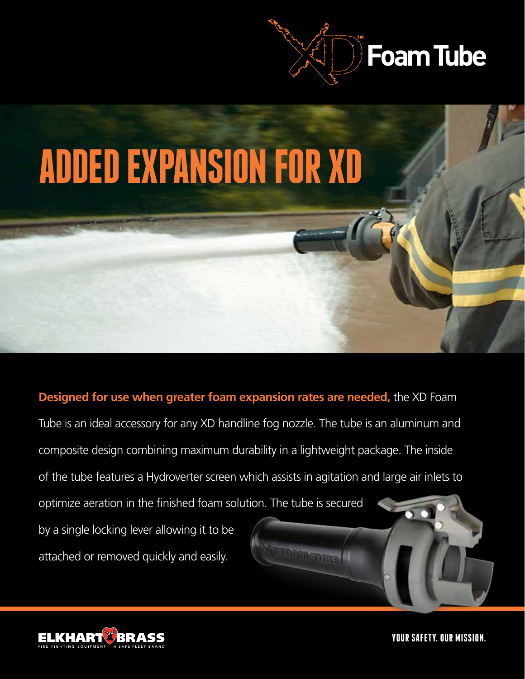



**Designed for use when greater foam expansion rates are needed,** the XD Foam Tube is an ideal accessory for any XD handline fog nozzle. The tube is an aluminum and composite design combining maximum durability in a lightweight package. The inside of the tube features a Hydroverter screen which assists in agitation and large air inlets to optimize aeration in the finished foam solution. The tube is secured by a single locking lever allowing it to be attached or removed quickly and easily.



**YOUR SAFETY. OUR MISSION.**